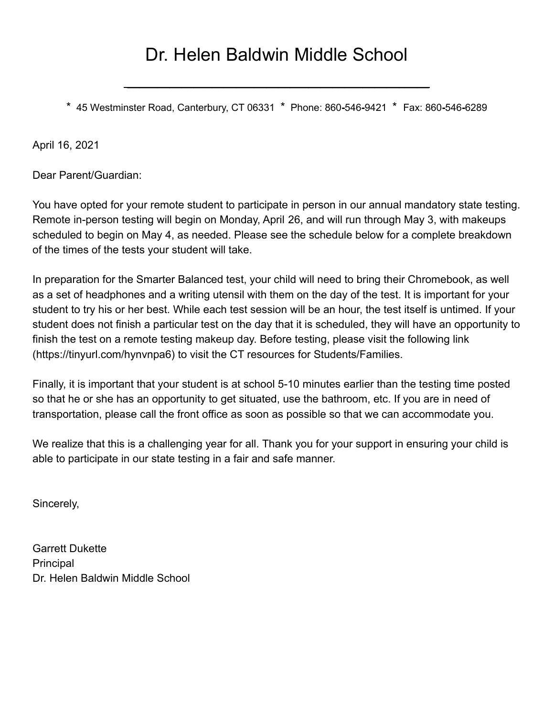## Dr. Helen Baldwin Middle School

**\_\_\_\_\_\_\_\_\_\_\_\_\_\_\_\_\_\_\_\_\_\_\_\_\_\_\_\_\_\_\_\_\_\_\_\_\_\_\_\_\_\_\_\_\_\_\_\_\_\_**

\* 45 Westminster Road, Canterbury, CT 06331 \* Phone: 860**-**546**-**9421 \* Fax: 860**-**546**-**6289

April 16, 2021

Dear Parent/Guardian:

You have opted for your remote student to participate in person in our annual mandatory state testing. Remote in-person testing will begin on Monday, April 26, and will run through May 3, with makeups scheduled to begin on May 4, as needed. Please see the schedule below for a complete breakdown of the times of the tests your student will take.

In preparation for the Smarter Balanced test, your child will need to bring their Chromebook, as well as a set of headphones and a writing utensil with them on the day of the test. It is important for your student to try his or her best. While each test session will be an hour, the test itself is untimed. If your student does not finish a particular test on the day that it is scheduled, they will have an opportunity to finish the test on a remote testing makeup day. Before testing, please visit the following link (https://tinyurl.com/hynvnpa6) to visit the CT resources for Students/Families.

Finally, it is important that your student is at school 5-10 minutes earlier than the testing time posted so that he or she has an opportunity to get situated, use the bathroom, etc. If you are in need of transportation, please call the front office as soon as possible so that we can accommodate you.

We realize that this is a challenging year for all. Thank you for your support in ensuring your child is able to participate in our state testing in a fair and safe manner.

Sincerely,

Garrett Dukette **Principal** Dr. Helen Baldwin Middle School